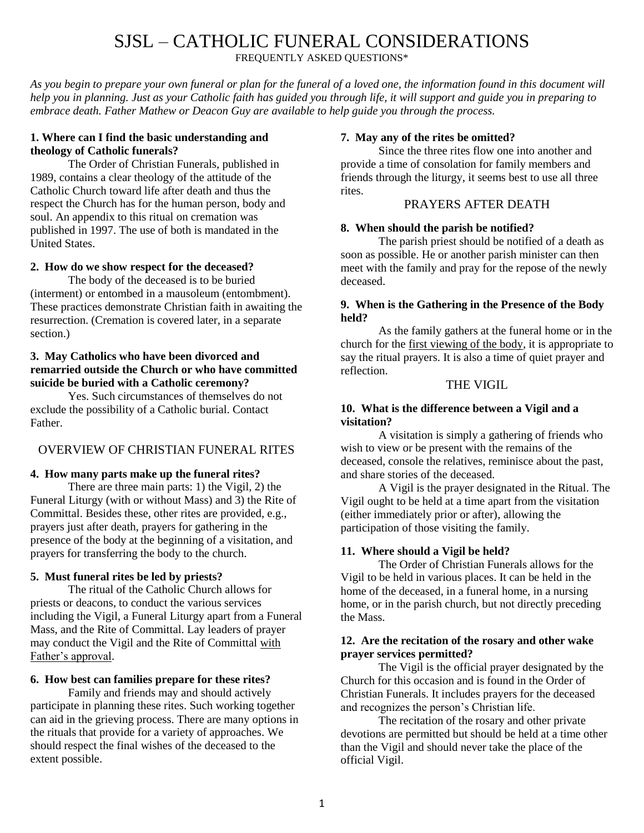# SJSL – CATHOLIC FUNERAL CONSIDERATIONS

FREQUENTLY ASKED QUESTIONS\*

*As you begin to prepare your own funeral or plan for the funeral of a loved one, the information found in this document will help you in planning. Just as your Catholic faith has guided you through life, it will support and guide you in preparing to embrace death. Father Mathew or Deacon Guy are available to help guide you through the process.*

# **1. Where can I find the basic understanding and theology of Catholic funerals?**

The Order of Christian Funerals, published in 1989, contains a clear theology of the attitude of the Catholic Church toward life after death and thus the respect the Church has for the human person, body and soul. An appendix to this ritual on cremation was published in 1997. The use of both is mandated in the United States.

# **2. How do we show respect for the deceased?**

The body of the deceased is to be buried (interment) or entombed in a mausoleum (entombment). These practices demonstrate Christian faith in awaiting the resurrection. (Cremation is covered later, in a separate section.)

# **3. May Catholics who have been divorced and remarried outside the Church or who have committed suicide be buried with a Catholic ceremony?**

Yes. Such circumstances of themselves do not exclude the possibility of a Catholic burial. Contact Father.

# OVERVIEW OF CHRISTIAN FUNERAL RITES

# **4. How many parts make up the funeral rites?**

There are three main parts: 1) the Vigil, 2) the Funeral Liturgy (with or without Mass) and 3) the Rite of Committal. Besides these, other rites are provided, e.g., prayers just after death, prayers for gathering in the presence of the body at the beginning of a visitation, and prayers for transferring the body to the church.

## **5. Must funeral rites be led by priests?**

The ritual of the Catholic Church allows for priests or deacons, to conduct the various services including the Vigil, a Funeral Liturgy apart from a Funeral Mass, and the Rite of Committal. Lay leaders of prayer may conduct the Vigil and the Rite of Committal with Father's approval.

# **6. How best can families prepare for these rites?**

Family and friends may and should actively participate in planning these rites. Such working together can aid in the grieving process. There are many options in the rituals that provide for a variety of approaches. We should respect the final wishes of the deceased to the extent possible.

# **7. May any of the rites be omitted?**

Since the three rites flow one into another and provide a time of consolation for family members and friends through the liturgy, it seems best to use all three rites.

# PRAYERS AFTER DEATH

# **8. When should the parish be notified?**

The parish priest should be notified of a death as soon as possible. He or another parish minister can then meet with the family and pray for the repose of the newly deceased.

## **9. When is the Gathering in the Presence of the Body held?**

As the family gathers at the funeral home or in the church for the first viewing of the body, it is appropriate to say the ritual prayers. It is also a time of quiet prayer and reflection.

## THE VIGIL

## **10. What is the difference between a Vigil and a visitation?**

A visitation is simply a gathering of friends who wish to view or be present with the remains of the deceased, console the relatives, reminisce about the past, and share stories of the deceased.

A Vigil is the prayer designated in the Ritual. The Vigil ought to be held at a time apart from the visitation (either immediately prior or after), allowing the participation of those visiting the family.

# **11. Where should a Vigil be held?**

The Order of Christian Funerals allows for the Vigil to be held in various places. It can be held in the home of the deceased, in a funeral home, in a nursing home, or in the parish church, but not directly preceding the Mass.

## **12. Are the recitation of the rosary and other wake prayer services permitted?**

The Vigil is the official prayer designated by the Church for this occasion and is found in the Order of Christian Funerals. It includes prayers for the deceased and recognizes the person's Christian life.

The recitation of the rosary and other private devotions are permitted but should be held at a time other than the Vigil and should never take the place of the official Vigil.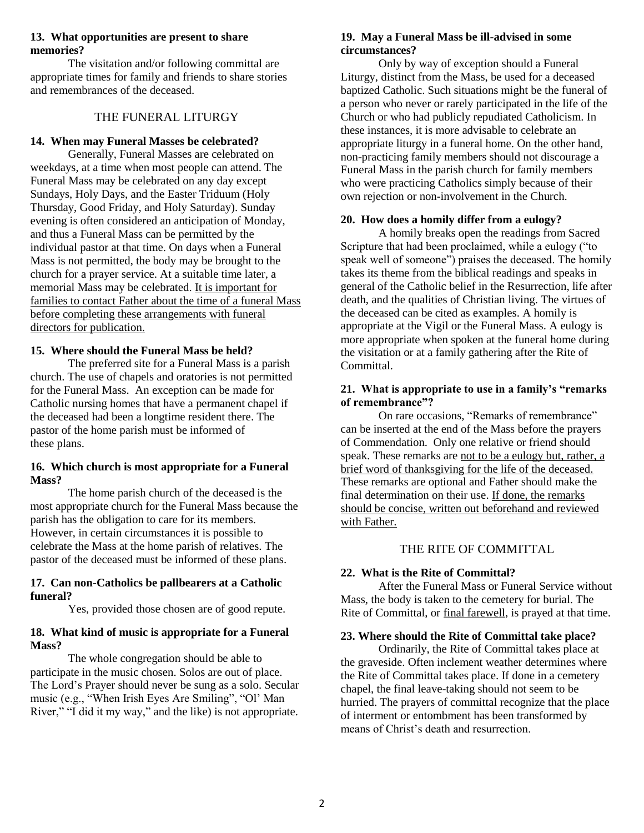## **13. What opportunities are present to share memories?**

The visitation and/or following committal are appropriate times for family and friends to share stories and remembrances of the deceased.

## THE FUNERAL LITURGY

#### **14. When may Funeral Masses be celebrated?**

Generally, Funeral Masses are celebrated on weekdays, at a time when most people can attend. The Funeral Mass may be celebrated on any day except Sundays, Holy Days, and the Easter Triduum (Holy Thursday, Good Friday, and Holy Saturday). Sunday evening is often considered an anticipation of Monday, and thus a Funeral Mass can be permitted by the individual pastor at that time. On days when a Funeral Mass is not permitted, the body may be brought to the church for a prayer service. At a suitable time later, a memorial Mass may be celebrated. It is important for families to contact Father about the time of a funeral Mass before completing these arrangements with funeral directors for publication.

#### **15. Where should the Funeral Mass be held?**

The preferred site for a Funeral Mass is a parish church. The use of chapels and oratories is not permitted for the Funeral Mass. An exception can be made for Catholic nursing homes that have a permanent chapel if the deceased had been a longtime resident there. The pastor of the home parish must be informed of these plans.

## **16. Which church is most appropriate for a Funeral Mass?**

The home parish church of the deceased is the most appropriate church for the Funeral Mass because the parish has the obligation to care for its members. However, in certain circumstances it is possible to celebrate the Mass at the home parish of relatives. The pastor of the deceased must be informed of these plans.

#### **17. Can non-Catholics be pallbearers at a Catholic funeral?**

Yes, provided those chosen are of good repute.

## **18. What kind of music is appropriate for a Funeral Mass?**

The whole congregation should be able to participate in the music chosen. Solos are out of place. The Lord's Prayer should never be sung as a solo. Secular music (e.g., "When Irish Eyes Are Smiling", "Ol' Man River," "I did it my way," and the like) is not appropriate.

## **19. May a Funeral Mass be ill-advised in some circumstances?**

Only by way of exception should a Funeral Liturgy, distinct from the Mass, be used for a deceased baptized Catholic. Such situations might be the funeral of a person who never or rarely participated in the life of the Church or who had publicly repudiated Catholicism. In these instances, it is more advisable to celebrate an appropriate liturgy in a funeral home. On the other hand, non-practicing family members should not discourage a Funeral Mass in the parish church for family members who were practicing Catholics simply because of their own rejection or non-involvement in the Church.

## **20. How does a homily differ from a eulogy?**

A homily breaks open the readings from Sacred Scripture that had been proclaimed, while a eulogy ("to speak well of someone") praises the deceased. The homily takes its theme from the biblical readings and speaks in general of the Catholic belief in the Resurrection, life after death, and the qualities of Christian living. The virtues of the deceased can be cited as examples. A homily is appropriate at the Vigil or the Funeral Mass. A eulogy is more appropriate when spoken at the funeral home during the visitation or at a family gathering after the Rite of Committal.

#### **21. What is appropriate to use in a family's "remarks of remembrance"?**

On rare occasions, "Remarks of remembrance" can be inserted at the end of the Mass before the prayers of Commendation. Only one relative or friend should speak. These remarks are not to be a eulogy but, rather, a brief word of thanksgiving for the life of the deceased. These remarks are optional and Father should make the final determination on their use. If done, the remarks should be concise, written out beforehand and reviewed with Father.

# THE RITE OF COMMITTAL

## **22. What is the Rite of Committal?**

After the Funeral Mass or Funeral Service without Mass, the body is taken to the cemetery for burial. The Rite of Committal, or final farewell, is prayed at that time.

## **23. Where should the Rite of Committal take place?**

Ordinarily, the Rite of Committal takes place at the graveside. Often inclement weather determines where the Rite of Committal takes place. If done in a cemetery chapel, the final leave-taking should not seem to be hurried. The prayers of committal recognize that the place of interment or entombment has been transformed by means of Christ's death and resurrection.